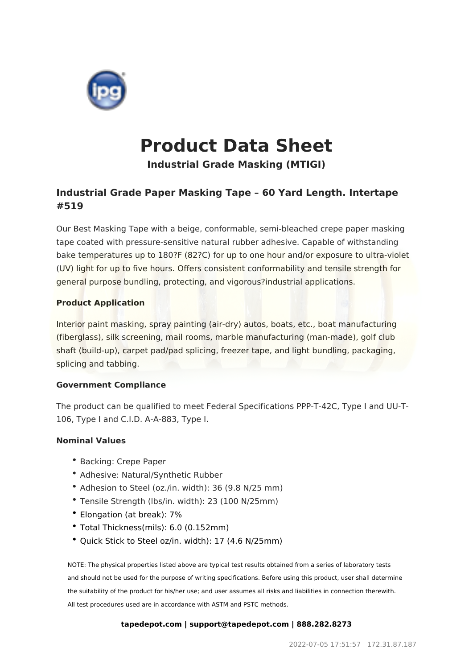

# **Product Data Sheet**

**Industrial Grade Masking (MTIGI)**

## **Industrial Grade Paper Masking Tape – 60 Yard Length. Intertape #519**

Our Best Masking Tape with a beige, conformable, semi-bleached crepe paper masking tape coated with pressure-sensitive natural rubber adhesive. Capable of withstanding bake temperatures up to 180?F (82?C) for up to one hour and/or exposure to ultra-violet (UV) light for up to five hours. Offers consistent conformability and tensile strength for general purpose bundling, protecting, and vigorous?industrial applications.

### **Product Application**

Interior paint masking, spray painting (air-dry) autos, boats, etc., boat manufacturing (fiberglass), silk screening, mail rooms, marble manufacturing (man-made), golf club shaft (build-up), carpet pad/pad splicing, freezer tape, and light bundling, packaging, splicing and tabbing.

#### **Government Compliance**

The product can be qualified to meet Federal Specifications PPP-T-42C, Type I and UU-T-106, Type I and C.I.D. A-A-883, Type I.

### **Nominal Values**

- Backing: Crepe Paper
- Adhesive: Natural/Synthetic Rubber
- Adhesion to Steel (oz./in. width): 36 (9.8 N/25 mm)
- Tensile Strength (lbs/in. width): 23 (100 N/25mm)
- Elongation (at break): 7%
- Total Thickness(mils): 6.0 (0.152mm)
- Quick Stick to Steel oz/in. width): 17 (4.6 N/25mm)

NOTE: The physical properties listed above are typical test results obtained from a series of laboratory tests and should not be used for the purpose of writing specifications. Before using this product, user shall determine the suitability of the product for his/her use; and user assumes all risks and liabilities in connection therewith. All test procedures used are in accordance with ASTM and PSTC methods.

#### **tapedepot.com | support@tapedepot.com | 888.282.8273**